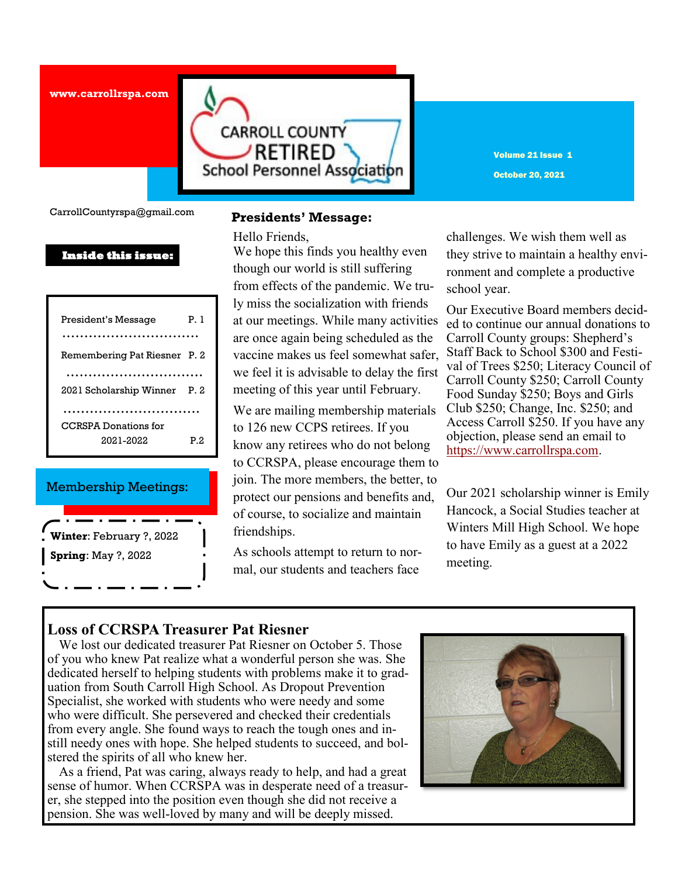**www.carrollrspa.com** 



Volume 21 Issue 1 October 20, 2021

CarrollCountyrspa@gmail.com

### **Inside this issue:**

| President's Message                      | Рl   |
|------------------------------------------|------|
| Remembering Pat Riesner P. 2             |      |
| 2021 Scholarship Winner                  | P. 2 |
| <b>CCRSPA</b> Donations for<br>2021-2022 | P 2. |

### Membership Meetings:

| Winter: February ?, 2022   |
|----------------------------|
| <b>Spring: May ?, 2022</b> |
|                            |

### **Presidents' Message:**

Hello Friends,

*H* We hope this finds you healthy even though our world is still suffering from effects of the pandemic. We truly miss the socialization with friends at our meetings. While many activities are once again being scheduled as the vaccine makes us feel somewhat safer, we feel it is advisable to delay the first meeting of this year until February.

We are mailing membership materials to 126 new CCPS retirees. If you know any retirees who do not belong to CCRSPA, please encourage them to join. The more members, the better, to protect our pensions and benefits and, of course, to socialize and maintain friendships.

As schools attempt to return to normal, our students and teachers face

challenges. We wish them well as they strive to maintain a healthy environment and complete a productive school year.

Our Executive Board members decided to continue our annual donations to Carroll County groups: Shepherd's Staff Back to School \$300 and Festival of Trees \$250; Literacy Council of Carroll County \$250; Carroll County Food Sunday \$250; Boys and Girls Club \$250; Change, Inc. \$250; and Access Carroll \$250. If you have any objection, please send an email to [https://www.carrollrspa.com.](https://www.carrollrspa.com)

Our 2021 scholarship winner is Emily Hancock, a Social Studies teacher at Winters Mill High School. We hope to have Emily as a guest at a 2022 meeting.

# **Loss of CCRSPA Treasurer Pat Riesner**

 We lost our dedicated treasurer Pat Riesner on October 5. Those of you who knew Pat realize what a wonderful person she was. She dedicated herself to helping students with problems make it to graduation from South Carroll High School. As Dropout Prevention Specialist, she worked with students who were needy and some who were difficult. She persevered and checked their credentials from every angle. She found ways to reach the tough ones and instill needy ones with hope. She helped students to succeed, and bolstered the spirits of all who knew her.

 As a friend, Pat was caring, always ready to help, and had a great sense of humor. When CCRSPA was in desperate need of a treasurer, she stepped into the position even though she did not receive a pension. She was well-loved by many and will be deeply missed.